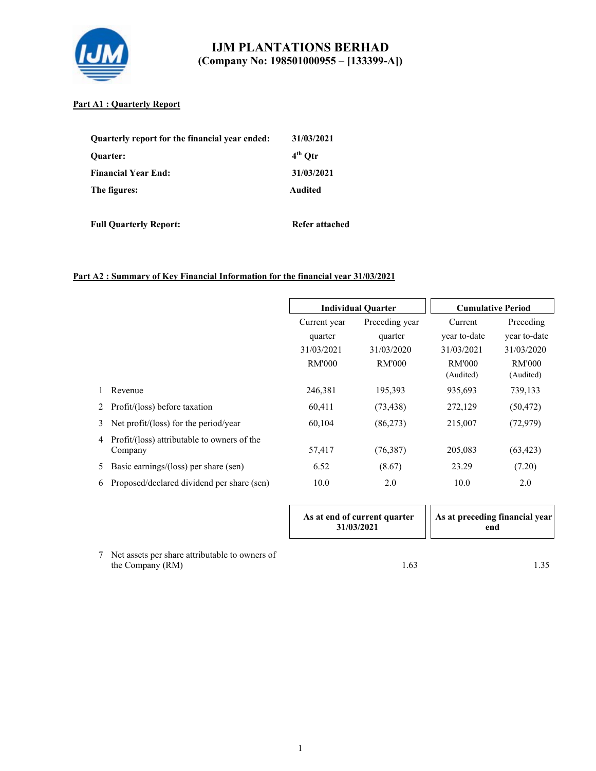

### **Part A1 : Quarterly Report**

| Quarterly report for the financial year ended:<br><b>Ouarter:</b> | 31/03/2021<br>$4th$ Otr |
|-------------------------------------------------------------------|-------------------------|
| <b>Financial Year End:</b>                                        | 31/03/2021              |
| The figures:                                                      | Audited                 |

**Full Quarterly Report:** Refer attached

## **Part A2 : Summary of Key Financial Information for the financial year 31/03/2021**

|   |                                                        | <b>Individual Quarter</b> |                | <b>Cumulative Period</b>   |                     |
|---|--------------------------------------------------------|---------------------------|----------------|----------------------------|---------------------|
|   |                                                        | Current year              | Preceding year |                            | Preceding           |
|   |                                                        | quarter                   | quarter        | year to-date               | year to-date        |
|   |                                                        | 31/03/2021                | 31/03/2020     | 31/03/2021                 | 31/03/2020          |
|   |                                                        | RM'000                    | RM'000         | <b>RM'000</b><br>(Audited) | RM'000<br>(Audited) |
|   | Revenue                                                | 246,381                   | 195,393        | 935,693                    | 739,133             |
| 2 | Profit/(loss) before taxation                          | 60,411                    | (73, 438)      | 272,129                    | (50, 472)           |
| 3 | Net profit/(loss) for the period/year                  | 60,104                    | (86,273)       | 215,007                    | (72, 979)           |
| 4 | Profit/(loss) attributable to owners of the<br>Company | 57,417                    | (76, 387)      | 205,083                    | (63, 423)           |
| 5 | Basic earnings/(loss) per share (sen)                  | 6.52                      | (8.67)         | 23.29                      | (7.20)              |
| 6 | Proposed/declared dividend per share (sen)             | 10.0                      | 2.0            | 10.0                       | 2.0                 |

|                                                                         | As at end of current quarter<br>31/03/2021 | As at preceding financial year<br>end |
|-------------------------------------------------------------------------|--------------------------------------------|---------------------------------------|
| Net assets per share attributable to owners of<br>7<br>the Company (RM) | 1.63                                       |                                       |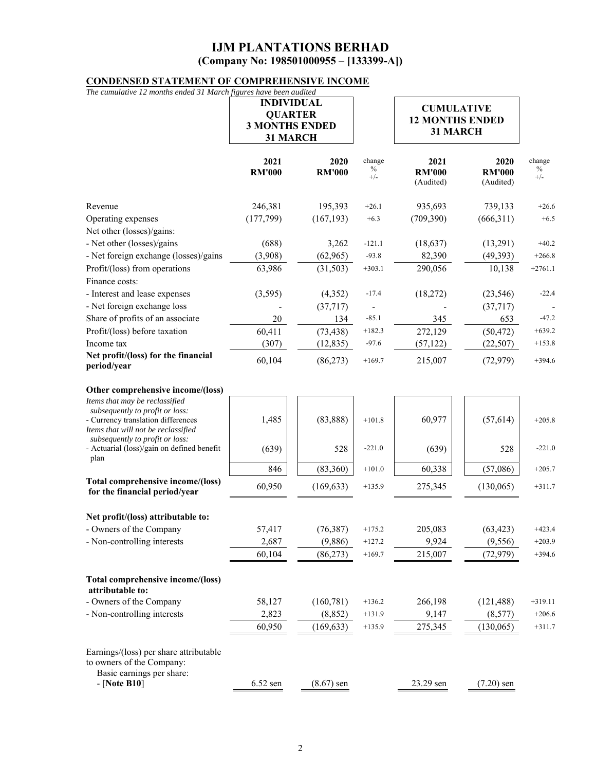# **CONDENSED STATEMENT OF COMPREHENSIVE INCOME**

| The cumulative 12 months ended 31 March figures have been audited                                            |                                   |                       |                         |                                    |                                    |                         |
|--------------------------------------------------------------------------------------------------------------|-----------------------------------|-----------------------|-------------------------|------------------------------------|------------------------------------|-------------------------|
|                                                                                                              | <b>INDIVIDUAL</b>                 |                       |                         | <b>CUMULATIVE</b>                  |                                    |                         |
|                                                                                                              | <b>QUARTER</b>                    |                       |                         | <b>12 MONTHS ENDED</b>             |                                    |                         |
|                                                                                                              | <b>3 MONTHS ENDED</b><br>31 MARCH |                       |                         | 31 MARCH                           |                                    |                         |
|                                                                                                              |                                   |                       |                         |                                    |                                    |                         |
|                                                                                                              | 2021<br><b>RM'000</b>             | 2020<br><b>RM'000</b> | change<br>$\%$<br>$+/-$ | 2021<br><b>RM'000</b><br>(Audited) | 2020<br><b>RM'000</b><br>(Audited) | change<br>$\%$<br>$+/-$ |
| Revenue                                                                                                      | 246,381                           | 195,393               | $+26.1$                 | 935,693                            | 739,133                            | $+26.6$                 |
| Operating expenses                                                                                           | (177, 799)                        | (167, 193)            | $+6.3$                  | (709, 390)                         | (666,311)                          | $+6.5$                  |
| Net other (losses)/gains:                                                                                    |                                   |                       |                         |                                    |                                    |                         |
| - Net other (losses)/gains                                                                                   | (688)                             | 3,262                 | $-121.1$                | (18, 637)                          | (13,291)                           | $+40.2$                 |
| - Net foreign exchange (losses)/gains                                                                        | (3,908)                           | (62, 965)             | $-93.8$                 | 82,390                             | (49, 393)                          | $+266.8$                |
| Profit/(loss) from operations                                                                                | 63,986                            | (31,503)              | $+303.1$                | 290,056                            | 10,138                             | $+2761.1$               |
| Finance costs:                                                                                               |                                   |                       |                         |                                    |                                    |                         |
| - Interest and lease expenses                                                                                | (3,595)                           | (4,352)               | $-17.4$                 | (18,272)                           | (23, 546)                          | $-22.4$                 |
| - Net foreign exchange loss                                                                                  |                                   | (37, 717)             |                         |                                    | (37, 717)                          |                         |
| Share of profits of an associate                                                                             | 20                                | 134                   | $-85.1$                 | 345                                | 653                                | $-47.2$                 |
| Profit/(loss) before taxation                                                                                | 60,411                            | (73, 438)             | $+182.3$                | 272,129                            | (50, 472)                          | $+639.2$                |
| Income tax                                                                                                   | (307)                             | (12, 835)             | $-97.6$                 | (57, 122)                          | (22, 507)                          | $+153.8$                |
| Net profit/(loss) for the financial<br>period/year                                                           | 60,104                            | (86,273)              | $+169.7$                | 215,007                            | (72, 979)                          | $+394.6$                |
| Other comprehensive income/(loss)                                                                            |                                   |                       |                         |                                    |                                    |                         |
| Items that may be reclassified                                                                               |                                   |                       |                         |                                    |                                    |                         |
| subsequently to profit or loss:<br>- Currency translation differences<br>Items that will not be reclassified | 1,485                             | (83, 888)             | $+101.8$                | 60,977                             | (57, 614)                          | $+205.8$                |
| subsequently to profit or loss:<br>- Actuarial (loss)/gain on defined benefit<br>plan                        | (639)                             | 528                   | $-221.0$                | (639)                              | 528                                | $-221.0$                |
|                                                                                                              | 846                               | (83,360)              | $+101.0$                | 60,338                             | (57,086)                           | $+205.7$                |
| Total comprehensive income/(loss)<br>for the financial period/year                                           | 60,950                            | (169, 633)            | $+135.9$                | 275,345                            | (130,065)                          | $+311.7$                |
| Net profit/(loss) attributable to:                                                                           |                                   |                       |                         |                                    |                                    |                         |
| - Owners of the Company                                                                                      | 57,417                            | (76, 387)             | $+175.2$                | 205,083                            | (63, 423)                          | $+423.4$                |
| - Non-controlling interests                                                                                  | 2,687                             | (9,886)               | $+127.2$                | 9,924                              | (9, 556)                           | $+203.9$                |
|                                                                                                              | 60,104                            | (86, 273)             | $+169.7$                | 215,007                            | (72, 979)                          | $+394.6$                |
| Total comprehensive income/(loss)                                                                            |                                   |                       |                         |                                    |                                    |                         |
| attributable to:<br>- Owners of the Company                                                                  | 58,127                            | (160, 781)            | $+136.2$                | 266,198                            | (121, 488)                         | $+319.11$               |
| - Non-controlling interests                                                                                  | 2,823                             | (8, 852)              | $+131.9$                | 9,147                              | (8,577)                            | $+206.6$                |
|                                                                                                              | 60,950                            | (169, 633)            | $+135.9$                | 275,345                            | (130,065)                          | $+311.7$                |
|                                                                                                              |                                   |                       |                         |                                    |                                    |                         |
| Earnings/(loss) per share attributable<br>to owners of the Company:<br>Basic earnings per share:             |                                   |                       |                         |                                    |                                    |                         |
| - [Note B10]                                                                                                 | $6.52$ sen                        | $(8.67)$ sen          |                         | 23.29 sen                          | $(7.20)$ sen                       |                         |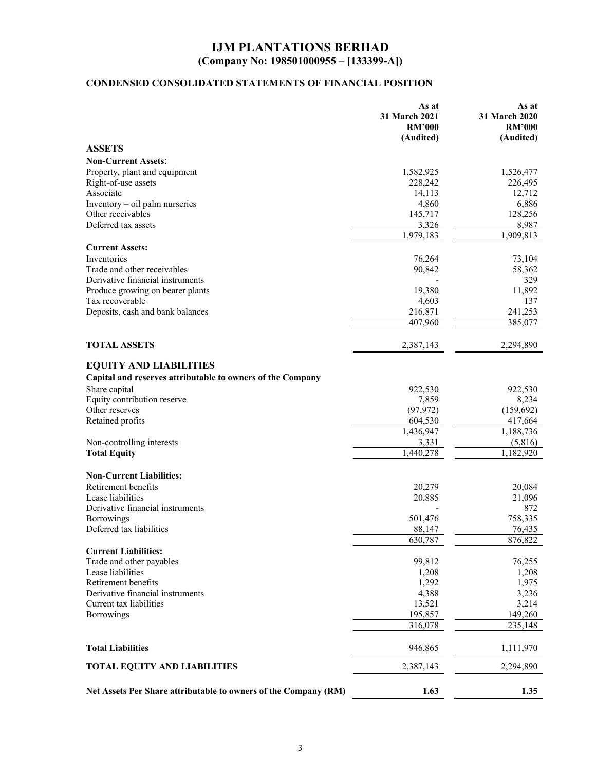# **CONDENSED CONSOLIDATED STATEMENTS OF FINANCIAL POSITION**

|                                                                 | As at<br>31 March 2021<br><b>RM'000</b><br>(Audited) | As at<br>31 March 2020<br><b>RM'000</b><br>(Audited) |
|-----------------------------------------------------------------|------------------------------------------------------|------------------------------------------------------|
| <b>ASSETS</b>                                                   |                                                      |                                                      |
| <b>Non-Current Assets:</b>                                      |                                                      |                                                      |
| Property, plant and equipment                                   | 1,582,925                                            | 1,526,477                                            |
| Right-of-use assets                                             | 228,242                                              | 226,495                                              |
| Associate                                                       | 14,113                                               | 12,712                                               |
| Inventory - oil palm nurseries                                  | 4,860                                                | 6,886                                                |
| Other receivables                                               | 145,717                                              | 128,256                                              |
| Deferred tax assets                                             | 3,326                                                | 8,987                                                |
|                                                                 | 1,979,183                                            | 1,909,813                                            |
| <b>Current Assets:</b>                                          |                                                      |                                                      |
| Inventories                                                     | 76,264                                               | 73,104                                               |
| Trade and other receivables                                     | 90,842                                               | 58,362                                               |
| Derivative financial instruments                                |                                                      | 329                                                  |
| Produce growing on bearer plants                                | 19,380                                               | 11,892                                               |
| Tax recoverable                                                 | 4,603                                                | 137                                                  |
| Deposits, cash and bank balances                                | 216,871                                              | 241,253                                              |
|                                                                 | 407,960                                              | 385,077                                              |
| <b>TOTAL ASSETS</b>                                             | 2,387,143                                            | 2,294,890                                            |
| <b>EQUITY AND LIABILITIES</b>                                   |                                                      |                                                      |
|                                                                 |                                                      |                                                      |
| Capital and reserves attributable to owners of the Company      |                                                      |                                                      |
| Share capital                                                   | 922,530                                              | 922,530                                              |
| Equity contribution reserve<br>Other reserves                   | 7,859                                                | 8,234                                                |
| Retained profits                                                | (97, 972)<br>604,530                                 | (159, 692)<br>417,664                                |
|                                                                 | 1,436,947                                            | 1,188,736                                            |
| Non-controlling interests                                       | 3,331                                                | (5,816)                                              |
| <b>Total Equity</b>                                             | 1,440,278                                            | 1,182,920                                            |
|                                                                 |                                                      |                                                      |
| <b>Non-Current Liabilities:</b>                                 |                                                      |                                                      |
| Retirement benefits                                             | 20,279                                               | 20,084                                               |
| Lease liabilities                                               | 20,885                                               | 21,096                                               |
| Derivative financial instruments                                |                                                      | 872                                                  |
| Borrowings                                                      | 501,476                                              | 758,335                                              |
| Deferred tax liabilities                                        | 88,147                                               | 76,435                                               |
|                                                                 | 630,787                                              | 876,822                                              |
| <b>Current Liabilities:</b>                                     |                                                      |                                                      |
| Trade and other payables                                        | 99,812                                               | 76,255                                               |
| Lease liabilities                                               | 1,208                                                | 1,208                                                |
| Retirement benefits                                             | 1,292                                                | 1,975                                                |
| Derivative financial instruments                                | 4,388                                                | 3,236                                                |
| Current tax liabilities                                         | 13,521                                               | 3,214                                                |
| Borrowings                                                      | 195,857<br>316,078                                   | 149,260<br>235,148                                   |
|                                                                 |                                                      |                                                      |
| <b>Total Liabilities</b>                                        | 946,865                                              | 1,111,970                                            |
| <b>TOTAL EQUITY AND LIABILITIES</b>                             | 2,387,143                                            | 2,294,890                                            |
| Net Assets Per Share attributable to owners of the Company (RM) | 1.63                                                 | 1.35                                                 |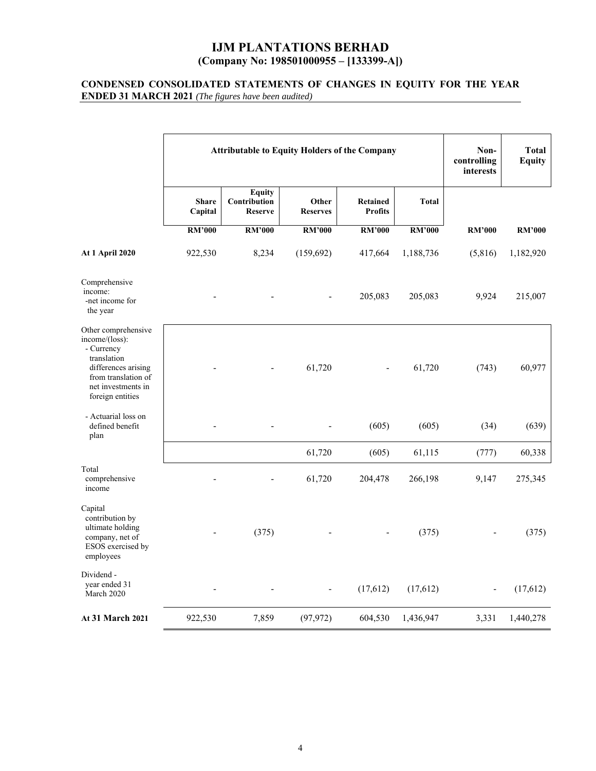#### **CONDENSED CONSOLIDATED STATEMENTS OF CHANGES IN EQUITY FOR THE YEAR ENDED 31 MARCH 2021** *(The figures have been audited)*

|                                                                                                                                                            | <b>Attributable to Equity Holders of the Company</b> |                                                 |                          |                                   | Non-<br>controlling<br>interests | <b>Total</b><br><b>Equity</b> |               |
|------------------------------------------------------------------------------------------------------------------------------------------------------------|------------------------------------------------------|-------------------------------------------------|--------------------------|-----------------------------------|----------------------------------|-------------------------------|---------------|
|                                                                                                                                                            | <b>Share</b><br>Capital                              | <b>Equity</b><br>Contribution<br><b>Reserve</b> | Other<br><b>Reserves</b> | <b>Retained</b><br><b>Profits</b> | <b>Total</b>                     |                               |               |
|                                                                                                                                                            | <b>RM'000</b>                                        | <b>RM'000</b>                                   | <b>RM'000</b>            | <b>RM'000</b>                     | <b>RM'000</b>                    | <b>RM'000</b>                 | <b>RM'000</b> |
| <b>At 1 April 2020</b>                                                                                                                                     | 922,530                                              | 8,234                                           | (159, 692)               | 417,664                           | 1,188,736                        | (5,816)                       | 1,182,920     |
| Comprehensive<br>income:<br>-net income for<br>the year                                                                                                    |                                                      |                                                 |                          | 205,083                           | 205,083                          | 9,924                         | 215,007       |
| Other comprehensive<br>income/(loss):<br>- Currency<br>translation<br>differences arising<br>from translation of<br>net investments in<br>foreign entities |                                                      |                                                 | 61,720                   |                                   | 61,720                           | (743)                         | 60,977        |
| - Actuarial loss on<br>defined benefit<br>plan                                                                                                             |                                                      |                                                 |                          | (605)                             | (605)                            | (34)                          | (639)         |
|                                                                                                                                                            |                                                      |                                                 | 61,720                   | (605)                             | 61,115                           | (777)                         | 60,338        |
| Total<br>comprehensive<br>income                                                                                                                           |                                                      |                                                 | 61,720                   | 204,478                           | 266,198                          | 9,147                         | 275,345       |
| Capital<br>contribution by<br>ultimate holding<br>company, net of<br>ESOS exercised by<br>employees                                                        |                                                      | (375)                                           |                          |                                   | (375)                            |                               | (375)         |
| Dividend -<br>year ended 31<br>March 2020                                                                                                                  |                                                      |                                                 |                          | (17,612)                          | (17,612)                         |                               | (17,612)      |
| <b>At 31 March 2021</b>                                                                                                                                    | 922,530                                              | 7,859                                           | (97, 972)                | 604,530                           | 1,436,947                        | 3,331                         | 1,440,278     |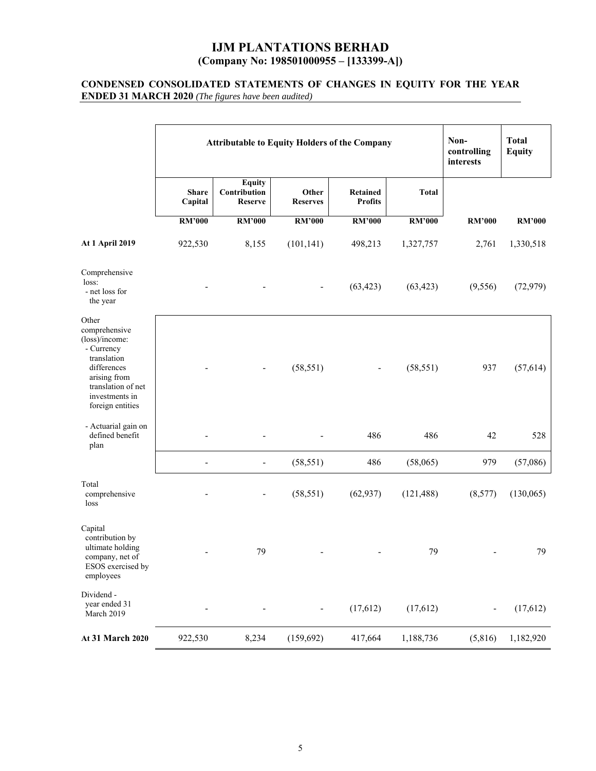#### **CONDENSED CONSOLIDATED STATEMENTS OF CHANGES IN EQUITY FOR THE YEAR ENDED 31 MARCH 2020** *(The figures have been audited)*

|                                                                                                                                                                  | <b>Attributable to Equity Holders of the Company</b> |                                                 |                          |                            |               | Non-<br>controlling<br>interests | <b>Total</b><br><b>Equity</b> |
|------------------------------------------------------------------------------------------------------------------------------------------------------------------|------------------------------------------------------|-------------------------------------------------|--------------------------|----------------------------|---------------|----------------------------------|-------------------------------|
|                                                                                                                                                                  | <b>Share</b><br>Capital                              | <b>Equity</b><br>Contribution<br><b>Reserve</b> | Other<br><b>Reserves</b> | Retained<br><b>Profits</b> | <b>Total</b>  |                                  |                               |
|                                                                                                                                                                  | <b>RM'000</b>                                        | <b>RM'000</b>                                   | <b>RM'000</b>            | <b>RM'000</b>              | <b>RM'000</b> | <b>RM'000</b>                    | <b>RM'000</b>                 |
| <b>At 1 April 2019</b>                                                                                                                                           | 922,530                                              | 8,155                                           | (101, 141)               | 498,213                    | 1,327,757     | 2,761                            | 1,330,518                     |
| Comprehensive<br>loss:<br>- net loss for<br>the year                                                                                                             |                                                      |                                                 |                          | (63, 423)                  | (63, 423)     | (9, 556)                         | (72, 979)                     |
| Other<br>comprehensive<br>(loss)/income:<br>- Currency<br>translation<br>differences<br>arising from<br>translation of net<br>investments in<br>foreign entities |                                                      |                                                 | (58, 551)                | $\overline{\phantom{a}}$   | (58, 551)     | 937                              | (57, 614)                     |
| - Actuarial gain on<br>defined benefit<br>plan                                                                                                                   |                                                      |                                                 |                          | 486                        | 486           | 42                               | 528                           |
|                                                                                                                                                                  | $\overline{\phantom{a}}$                             | $\blacksquare$                                  | (58, 551)                | 486                        | (58,065)      | 979                              | (57,086)                      |
| Total<br>comprehensive<br>loss                                                                                                                                   |                                                      |                                                 | (58, 551)                | (62, 937)                  | (121, 488)    | (8,577)                          | (130,065)                     |
| Capital<br>contribution by<br>ultimate holding<br>company, net of<br>ESOS exercised by<br>employees                                                              |                                                      | 79                                              |                          |                            | 79            |                                  | 79                            |
| Dividend -<br>year ended 31<br>March 2019                                                                                                                        |                                                      |                                                 | $\overline{\phantom{0}}$ | (17,612)                   | (17,612)      |                                  | (17,612)                      |
| At 31 March 2020                                                                                                                                                 | 922,530                                              | 8,234                                           | (159, 692)               | 417,664                    | 1,188,736     | (5,816)                          | 1,182,920                     |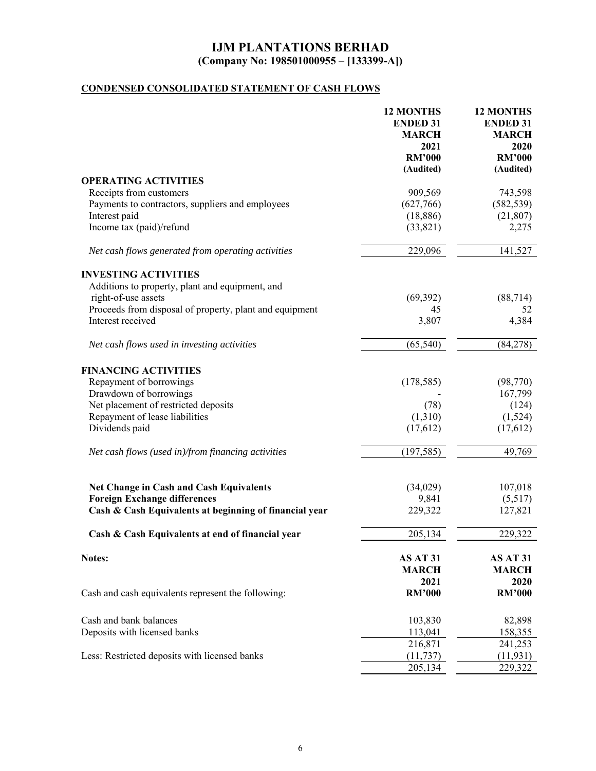# **CONDENSED CONSOLIDATED STATEMENT OF CASH FLOWS**

|                                                                                       | <b>12 MONTHS</b><br><b>ENDED 31</b><br><b>MARCH</b><br>2021<br><b>RM'000</b><br>(Audited) | <b>12 MONTHS</b><br><b>ENDED 31</b><br><b>MARCH</b><br>2020<br><b>RM'000</b><br>(Audited) |
|---------------------------------------------------------------------------------------|-------------------------------------------------------------------------------------------|-------------------------------------------------------------------------------------------|
| <b>OPERATING ACTIVITIES</b>                                                           |                                                                                           |                                                                                           |
| Receipts from customers                                                               | 909,569                                                                                   | 743,598                                                                                   |
| Payments to contractors, suppliers and employees                                      | (627,766)                                                                                 | (582, 539)                                                                                |
| Interest paid                                                                         | (18, 886)                                                                                 | (21, 807)                                                                                 |
| Income tax (paid)/refund                                                              | (33, 821)                                                                                 | 2,275                                                                                     |
| Net cash flows generated from operating activities                                    | 229,096                                                                                   | 141,527                                                                                   |
| <b>INVESTING ACTIVITIES</b>                                                           |                                                                                           |                                                                                           |
| Additions to property, plant and equipment, and                                       |                                                                                           |                                                                                           |
| right-of-use assets                                                                   | (69, 392)                                                                                 | (88, 714)                                                                                 |
| Proceeds from disposal of property, plant and equipment                               | 45                                                                                        | 52                                                                                        |
| Interest received                                                                     | 3,807                                                                                     | 4,384                                                                                     |
| Net cash flows used in investing activities                                           | (65, 540)                                                                                 | (84, 278)                                                                                 |
| <b>FINANCING ACTIVITIES</b>                                                           |                                                                                           |                                                                                           |
| Repayment of borrowings                                                               | (178, 585)                                                                                | (98, 770)                                                                                 |
| Drawdown of borrowings                                                                |                                                                                           | 167,799                                                                                   |
| Net placement of restricted deposits                                                  | (78)                                                                                      | (124)                                                                                     |
| Repayment of lease liabilities                                                        | (1,310)                                                                                   | (1,524)                                                                                   |
| Dividends paid                                                                        | (17,612)                                                                                  | (17,612)                                                                                  |
| Net cash flows (used in)/from financing activities                                    | (197, 585)                                                                                | 49,769                                                                                    |
|                                                                                       |                                                                                           | 107,018                                                                                   |
| <b>Net Change in Cash and Cash Equivalents</b><br><b>Foreign Exchange differences</b> | (34,029)<br>9,841                                                                         | (5,517)                                                                                   |
| Cash & Cash Equivalents at beginning of financial year                                | 229,322                                                                                   | 127,821                                                                                   |
| Cash & Cash Equivalents at end of financial year                                      | 205,134                                                                                   | 229,322                                                                                   |
| Notes:                                                                                | AS AT 31<br><b>MARCH</b>                                                                  | AS AT 31<br><b>MARCH</b>                                                                  |
| Cash and cash equivalents represent the following:                                    | 2021<br><b>RM'000</b>                                                                     | 2020<br><b>RM'000</b>                                                                     |
| Cash and bank balances                                                                | 103,830                                                                                   | 82,898                                                                                    |
| Deposits with licensed banks                                                          | 113,041                                                                                   | 158,355                                                                                   |
|                                                                                       | 216,871                                                                                   | 241,253                                                                                   |
| Less: Restricted deposits with licensed banks                                         | (11, 737)                                                                                 | (11, 931)                                                                                 |
|                                                                                       | 205,134                                                                                   | 229,322                                                                                   |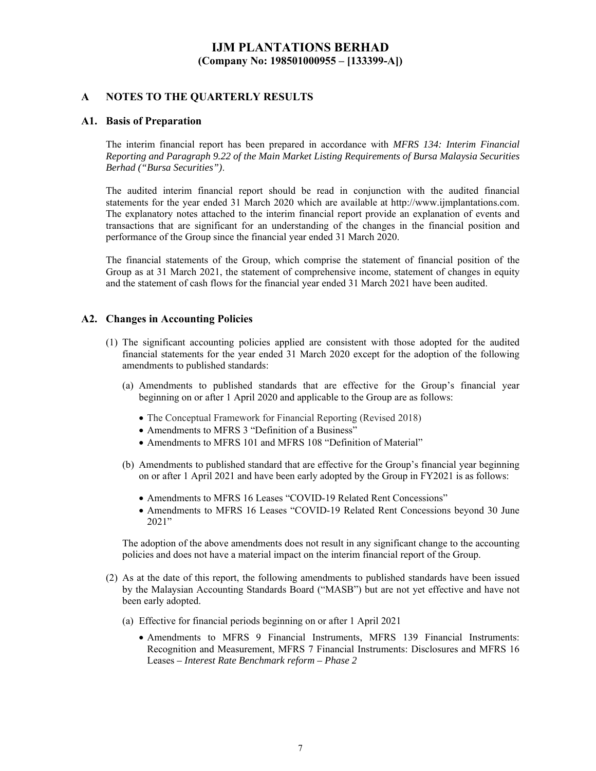### **A NOTES TO THE QUARTERLY RESULTS**

#### **A1. Basis of Preparation**

The interim financial report has been prepared in accordance with *MFRS 134: Interim Financial Reporting and Paragraph 9.22 of the Main Market Listing Requirements of Bursa Malaysia Securities Berhad ("Bursa Securities")*.

The audited interim financial report should be read in conjunction with the audited financial statements for the year ended 31 March 2020 which are available at http://www.ijmplantations.com. The explanatory notes attached to the interim financial report provide an explanation of events and transactions that are significant for an understanding of the changes in the financial position and performance of the Group since the financial year ended 31 March 2020.

The financial statements of the Group, which comprise the statement of financial position of the Group as at 31 March 2021, the statement of comprehensive income, statement of changes in equity and the statement of cash flows for the financial year ended 31 March 2021 have been audited.

#### **A2. Changes in Accounting Policies**

- (1) The significant accounting policies applied are consistent with those adopted for the audited financial statements for the year ended 31 March 2020 except for the adoption of the following amendments to published standards:
	- (a) Amendments to published standards that are effective for the Group's financial year beginning on or after 1 April 2020 and applicable to the Group are as follows:
		- The Conceptual Framework for Financial Reporting (Revised 2018)
		- Amendments to MFRS 3 "Definition of a Business"
		- Amendments to MFRS 101 and MFRS 108 "Definition of Material"
	- (b) Amendments to published standard that are effective for the Group's financial year beginning on or after 1 April 2021 and have been early adopted by the Group in FY2021 is as follows:
		- Amendments to MFRS 16 Leases "COVID-19 Related Rent Concessions"
		- Amendments to MFRS 16 Leases "COVID-19 Related Rent Concessions beyond 30 June 2021"

The adoption of the above amendments does not result in any significant change to the accounting policies and does not have a material impact on the interim financial report of the Group.

- (2) As at the date of this report, the following amendments to published standards have been issued by the Malaysian Accounting Standards Board ("MASB") but are not yet effective and have not been early adopted.
	- (a) Effective for financial periods beginning on or after 1 April 2021
		- Amendments to MFRS 9 Financial Instruments, MFRS 139 Financial Instruments: Recognition and Measurement, MFRS 7 Financial Instruments: Disclosures and MFRS 16 Leases *– Interest Rate Benchmark reform – Phase 2*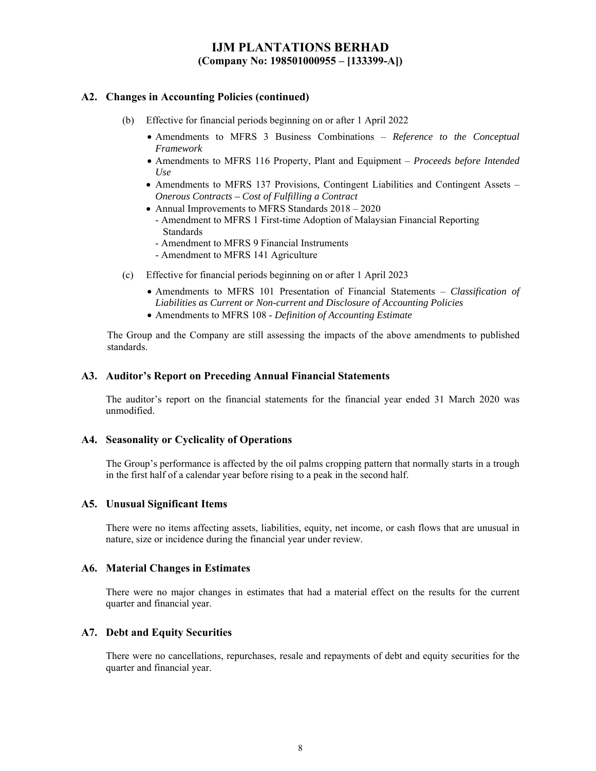### **A2. Changes in Accounting Policies (continued)**

- (b) Effective for financial periods beginning on or after 1 April 2022
	- Amendments to MFRS 3 Business Combinations *Reference to the Conceptual Framework*
	- Amendments to MFRS 116 Property, Plant and Equipment *Proceeds before Intended Use*
	- Amendments to MFRS 137 Provisions, Contingent Liabilities and Contingent Assets *Onerous Contracts – Cost of Fulfilling a Contract*
	- Annual Improvements to MFRS Standards  $2018 2020$
	- Amendment to MFRS 1 First-time Adoption of Malaysian Financial Reporting Standards
	- Amendment to MFRS 9 Financial Instruments
	- Amendment to MFRS 141 Agriculture
- (c) Effective for financial periods beginning on or after 1 April 2023
	- Amendments to MFRS 101 Presentation of Financial Statements *Classification of Liabilities as Current or Non-current and Disclosure of Accounting Policies*
	- Amendments to MFRS 108 *Definition of Accounting Estimate*

The Group and the Company are still assessing the impacts of the above amendments to published standards.

#### **A3. Auditor's Report on Preceding Annual Financial Statements**

The auditor's report on the financial statements for the financial year ended 31 March 2020 was unmodified.

### **A4. Seasonality or Cyclicality of Operations**

The Group's performance is affected by the oil palms cropping pattern that normally starts in a trough in the first half of a calendar year before rising to a peak in the second half.

#### **A5. Unusual Significant Items**

There were no items affecting assets, liabilities, equity, net income, or cash flows that are unusual in nature, size or incidence during the financial year under review.

#### **A6. Material Changes in Estimates**

There were no major changes in estimates that had a material effect on the results for the current quarter and financial year.

#### **A7. Debt and Equity Securities**

There were no cancellations, repurchases, resale and repayments of debt and equity securities for the quarter and financial year.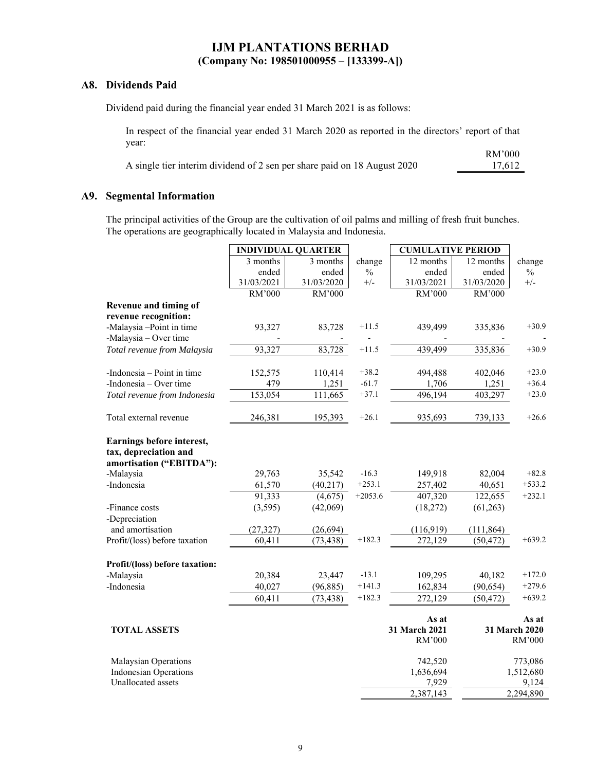### **A8. Dividends Paid**

Dividend paid during the financial year ended 31 March 2021 is as follows:

In respect of the financial year ended 31 March 2020 as reported in the directors' report of that year: RM'000

|                                                                          | THEY AVA |
|--------------------------------------------------------------------------|----------|
| A single tier interim dividend of 2 sen per share paid on 18 August 2020 | 17.612   |

### **A9. Segmental Information**

The principal activities of the Group are the cultivation of oil palms and milling of fresh fruit bunches. The operations are geographically located in Malaysia and Indonesia.

|                                                                                |            | <b>INDIVIDUAL QUARTER</b> |               | <b>CUMULATIVE PERIOD</b>         |            |                                  |
|--------------------------------------------------------------------------------|------------|---------------------------|---------------|----------------------------------|------------|----------------------------------|
|                                                                                | 3 months   | 3 months                  | change        | 12 months                        | 12 months  | change                           |
|                                                                                | ended      | ended                     | $\frac{0}{0}$ | ended                            | ended      | $\frac{0}{0}$                    |
|                                                                                | 31/03/2021 | 31/03/2020                | $+/-$         | 31/03/2021                       | 31/03/2020 | $+/-$                            |
|                                                                                | RM'000     | RM'000                    |               | RM'000                           | RM'000     |                                  |
| Revenue and timing of                                                          |            |                           |               |                                  |            |                                  |
| revenue recognition:                                                           |            |                           |               |                                  |            |                                  |
| -Malaysia-Point in time                                                        | 93,327     | 83,728                    | $+11.5$       | 439,499                          | 335,836    | $+30.9$                          |
| -Malaysia - Over time                                                          |            |                           |               |                                  |            |                                  |
| Total revenue from Malaysia                                                    | 93,327     | 83,728                    | $+11.5$       | 439,499                          | 335,836    | $+30.9$                          |
| -Indonesia – Point in time                                                     | 152,575    | 110,414                   | $+38.2$       | 494,488                          | 402,046    | $+23.0$                          |
| -Indonesia – Over time                                                         | 479        | 1,251                     | $-61.7$       | 1,706                            | 1,251      | $+36.4$                          |
| Total revenue from Indonesia                                                   | 153,054    | 111,665                   | $+37.1$       | 496,194                          | 403,297    | $+23.0$                          |
| Total external revenue                                                         | 246,381    | 195,393                   | $+26.1$       | 935,693                          | 739,133    | $+26.6$                          |
| Earnings before interest,<br>tax, depreciation and<br>amortisation ("EBITDA"): |            |                           |               |                                  |            |                                  |
| -Malaysia                                                                      | 29,763     | 35,542                    | $-16.3$       | 149,918                          | 82,004     | $+82.8$                          |
| -Indonesia                                                                     | 61,570     | (40,217)                  | $+253.1$      | 257,402                          | 40,651     | $+533.2$                         |
|                                                                                | 91,333     | (4,675)                   | $+2053.6$     | 407,320                          | 122,655    | $+232.1$                         |
| -Finance costs                                                                 | (3,595)    | (42,069)                  |               | (18, 272)                        | (61,263)   |                                  |
| -Depreciation                                                                  |            |                           |               |                                  |            |                                  |
| and amortisation                                                               | (27, 327)  | (26, 694)                 |               | (116,919)                        | (111, 864) |                                  |
| Profit/(loss) before taxation                                                  | 60,411     | (73, 438)                 | $+182.3$      | 272,129                          | (50, 472)  | $+639.2$                         |
| Profit/(loss) before taxation:                                                 |            |                           |               |                                  |            |                                  |
| -Malaysia                                                                      | 20,384     | 23,447                    | $-13.1$       | 109,295                          | 40,182     | $+172.0$                         |
| -Indonesia                                                                     | 40,027     | (96, 885)                 | $+141.3$      | 162,834                          | (90, 654)  | $+279.6$                         |
|                                                                                | 60,411     | (73, 438)                 | $+182.3$      | 272,129                          | (50, 472)  | $+639.2$                         |
| <b>TOTAL ASSETS</b>                                                            |            |                           |               | As at<br>31 March 2021<br>RM'000 |            | As at<br>31 March 2020<br>RM'000 |
| Malaysian Operations<br><b>Indonesian Operations</b>                           |            |                           |               | 742,520<br>1,636,694             |            | 773,086<br>1,512,680             |
| Unallocated assets                                                             |            |                           |               | 7,929                            |            | 9,124                            |
|                                                                                |            |                           |               | 2,387,143                        |            | 2,294,890                        |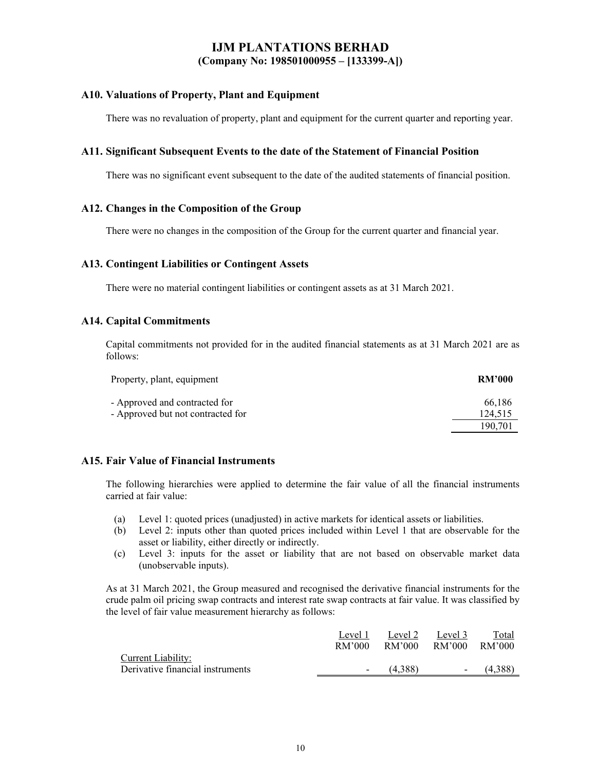### **A10. Valuations of Property, Plant and Equipment**

There was no revaluation of property, plant and equipment for the current quarter and reporting year.

#### **A11. Significant Subsequent Events to the date of the Statement of Financial Position**

There was no significant event subsequent to the date of the audited statements of financial position.

### **A12. Changes in the Composition of the Group**

There were no changes in the composition of the Group for the current quarter and financial year.

#### **A13. Contingent Liabilities or Contingent Assets**

There were no material contingent liabilities or contingent assets as at 31 March 2021.

#### **A14. Capital Commitments**

Capital commitments not provided for in the audited financial statements as at 31 March 2021 are as follows:

| Property, plant, equipment        | <b>RM'000</b> |
|-----------------------------------|---------------|
| - Approved and contracted for     | 66,186        |
| - Approved but not contracted for | 124.515       |
|                                   | 190.701       |

### **A15. Fair Value of Financial Instruments**

The following hierarchies were applied to determine the fair value of all the financial instruments carried at fair value:

- (a) Level 1: quoted prices (unadjusted) in active markets for identical assets or liabilities.
- (b) Level 2: inputs other than quoted prices included within Level 1 that are observable for the asset or liability, either directly or indirectly.
- (c) Level 3: inputs for the asset or liability that are not based on observable market data (unobservable inputs).

As at 31 March 2021, the Group measured and recognised the derivative financial instruments for the crude palm oil pricing swap contracts and interest rate swap contracts at fair value. It was classified by the level of fair value measurement hierarchy as follows:

|                                  | Level 1                  | Level 2 | Level 3                  | Total    |
|----------------------------------|--------------------------|---------|--------------------------|----------|
|                                  | RM'000                   | RM'000  | RM'000                   | - RM'000 |
| Current Liability:               |                          |         |                          |          |
| Derivative financial instruments | $\overline{\phantom{a}}$ | (4.388) | $\overline{\phantom{a}}$ | (4.388)  |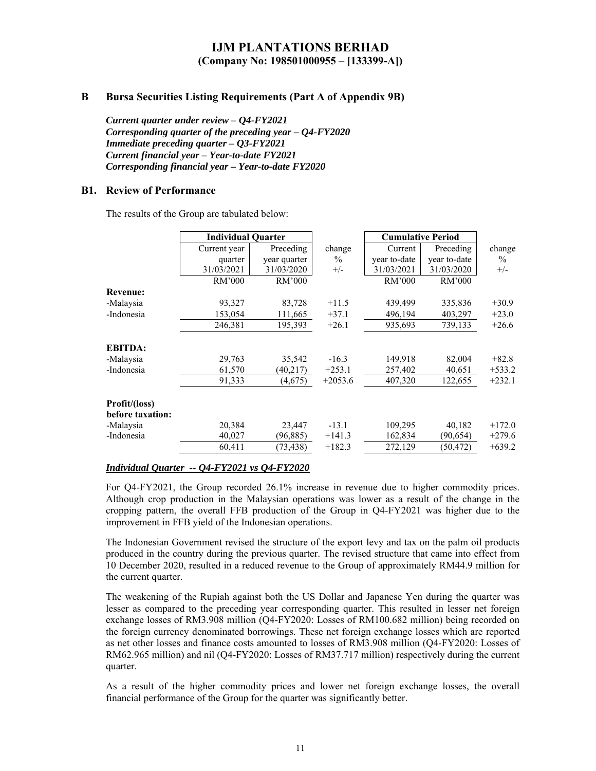### **B Bursa Securities Listing Requirements (Part A of Appendix 9B)**

*Current quarter under review – Q4-FY2021 Corresponding quarter of the preceding year – Q4-FY2020 Immediate preceding quarter – Q3-FY2021 Current financial year – Year-to-date FY2021 Corresponding financial year – Year-to-date FY2020* 

### **B1. Review of Performance**

The results of the Group are tabulated below:

|                  | <b>Individual Quarter</b> |              |           | <b>Cumulative Period</b> |              |          |  |
|------------------|---------------------------|--------------|-----------|--------------------------|--------------|----------|--|
|                  | Current year              | Preceding    | change    | Current                  | Preceding    | change   |  |
|                  | quarter                   | year quarter | $\%$      | year to-date             | year to-date | $\%$     |  |
|                  | 31/03/2021                | 31/03/2020   | $+/-$     | 31/03/2021               | 31/03/2020   | $+/-$    |  |
|                  | RM'000                    | RM'000       |           | RM'000                   | RM'000       |          |  |
| <b>Revenue:</b>  |                           |              |           |                          |              |          |  |
| -Malaysia        | 93,327                    | 83,728       | $+11.5$   | 439,499                  | 335,836      | $+30.9$  |  |
| -Indonesia       | 153,054                   | 111,665      | $+37.1$   | 496,194                  | 403,297      | $+23.0$  |  |
|                  | 246,381                   | 195,393      | $+26.1$   | 935,693                  | 739,133      | $+26.6$  |  |
| <b>EBITDA:</b>   |                           |              |           |                          |              |          |  |
| -Malaysia        | 29,763                    | 35,542       | $-16.3$   | 149,918                  | 82,004       | $+82.8$  |  |
| -Indonesia       | 61,570                    | (40,217)     | $+253.1$  | 257,402                  | 40,651       | $+533.2$ |  |
|                  | 91,333                    | (4,675)      | $+2053.6$ | 407,320                  | 122,655      | $+232.1$ |  |
| Profit/(loss)    |                           |              |           |                          |              |          |  |
| before taxation: |                           |              |           |                          |              |          |  |
| -Malaysia        | 20,384                    | 23,447       | $-13.1$   | 109,295                  | 40,182       | $+172.0$ |  |
| -Indonesia       | 40,027                    | (96, 885)    | $+141.3$  | 162,834                  | (90,654)     | $+279.6$ |  |
|                  | 60,411                    | (73, 438)    | $+182.3$  | 272,129                  | (50, 472)    | $+639.2$ |  |

#### *Individual Quarter -- Q4-FY2021 vs Q4-FY2020*

For Q4-FY2021, the Group recorded 26.1% increase in revenue due to higher commodity prices. Although crop production in the Malaysian operations was lower as a result of the change in the cropping pattern, the overall FFB production of the Group in Q4-FY2021 was higher due to the improvement in FFB yield of the Indonesian operations.

The Indonesian Government revised the structure of the export levy and tax on the palm oil products produced in the country during the previous quarter. The revised structure that came into effect from 10 December 2020, resulted in a reduced revenue to the Group of approximately RM44.9 million for the current quarter.

The weakening of the Rupiah against both the US Dollar and Japanese Yen during the quarter was lesser as compared to the preceding year corresponding quarter. This resulted in lesser net foreign exchange losses of RM3.908 million (Q4-FY2020: Losses of RM100.682 million) being recorded on the foreign currency denominated borrowings. These net foreign exchange losses which are reported as net other losses and finance costs amounted to losses of RM3.908 million (Q4-FY2020: Losses of RM62.965 million) and nil (Q4-FY2020: Losses of RM37.717 million) respectively during the current quarter.

As a result of the higher commodity prices and lower net foreign exchange losses, the overall financial performance of the Group for the quarter was significantly better.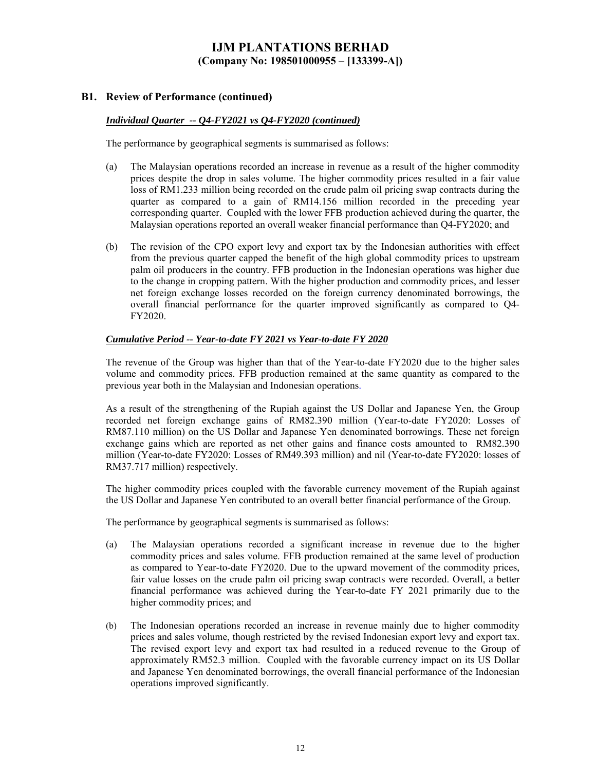### **B1. Review of Performance (continued)**

#### *Individual Quarter -- Q4-FY2021 vs Q4-FY2020 (continued)*

The performance by geographical segments is summarised as follows:

- (a) The Malaysian operations recorded an increase in revenue as a result of the higher commodity prices despite the drop in sales volume. The higher commodity prices resulted in a fair value loss of RM1.233 million being recorded on the crude palm oil pricing swap contracts during the quarter as compared to a gain of RM14.156 million recorded in the preceding year corresponding quarter. Coupled with the lower FFB production achieved during the quarter, the Malaysian operations reported an overall weaker financial performance than Q4-FY2020; and
- (b) The revision of the CPO export levy and export tax by the Indonesian authorities with effect from the previous quarter capped the benefit of the high global commodity prices to upstream palm oil producers in the country. FFB production in the Indonesian operations was higher due to the change in cropping pattern. With the higher production and commodity prices, and lesser net foreign exchange losses recorded on the foreign currency denominated borrowings, the overall financial performance for the quarter improved significantly as compared to Q4- FY2020.

#### *Cumulative Period -- Year-to-date FY 2021 vs Year-to-date FY 2020*

The revenue of the Group was higher than that of the Year-to-date FY2020 due to the higher sales volume and commodity prices. FFB production remained at the same quantity as compared to the previous year both in the Malaysian and Indonesian operations.

As a result of the strengthening of the Rupiah against the US Dollar and Japanese Yen, the Group recorded net foreign exchange gains of RM82.390 million (Year-to-date FY2020: Losses of RM87.110 million) on the US Dollar and Japanese Yen denominated borrowings. These net foreign exchange gains which are reported as net other gains and finance costs amounted to RM82.390 million (Year-to-date FY2020: Losses of RM49.393 million) and nil (Year-to-date FY2020: losses of RM37.717 million) respectively.

The higher commodity prices coupled with the favorable currency movement of the Rupiah against the US Dollar and Japanese Yen contributed to an overall better financial performance of the Group.

The performance by geographical segments is summarised as follows:

- (a) The Malaysian operations recorded a significant increase in revenue due to the higher commodity prices and sales volume. FFB production remained at the same level of production as compared to Year-to-date FY2020. Due to the upward movement of the commodity prices, fair value losses on the crude palm oil pricing swap contracts were recorded. Overall, a better financial performance was achieved during the Year-to-date FY 2021 primarily due to the higher commodity prices; and
- (b) The Indonesian operations recorded an increase in revenue mainly due to higher commodity prices and sales volume, though restricted by the revised Indonesian export levy and export tax. The revised export levy and export tax had resulted in a reduced revenue to the Group of approximately RM52.3 million. Coupled with the favorable currency impact on its US Dollar and Japanese Yen denominated borrowings, the overall financial performance of the Indonesian operations improved significantly.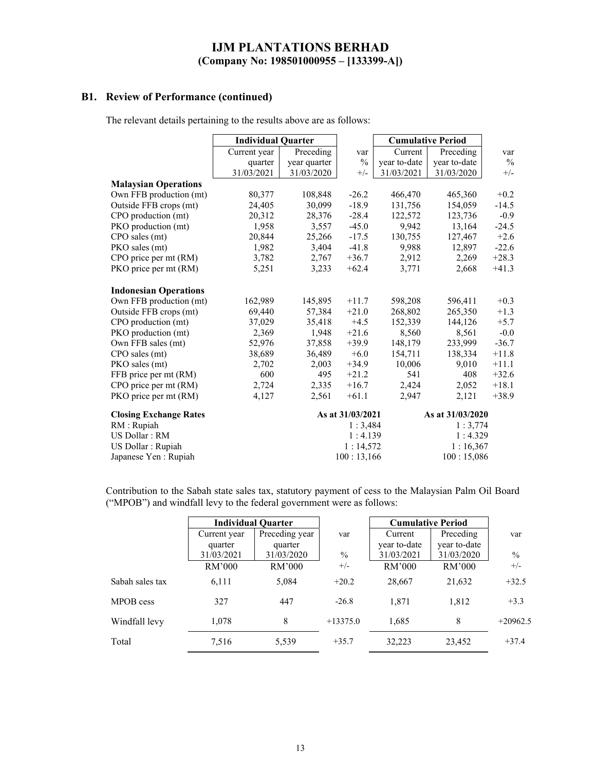### **B1. Review of Performance (continued)**

The relevant details pertaining to the results above are as follows:

|                               | <b>Individual Quarter</b> |              |                  | <b>Cumulative Period</b> |                  |               |
|-------------------------------|---------------------------|--------------|------------------|--------------------------|------------------|---------------|
|                               | Current year              | Preceding    | var              | Current                  | Preceding        | var           |
|                               | quarter                   | year quarter | $\frac{0}{0}$    | year to-date             | year to-date     | $\frac{0}{0}$ |
|                               | 31/03/2021                | 31/03/2020   | $+/-$            | 31/03/2021               | 31/03/2020       | $+/-$         |
| <b>Malaysian Operations</b>   |                           |              |                  |                          |                  |               |
| Own FFB production (mt)       | 80,377                    | 108,848      | $-26.2$          | 466,470                  | 465,360          | $+0.2$        |
| Outside FFB crops (mt)        | 24,405                    | 30,099       | $-18.9$          | 131,756                  | 154,059          | $-14.5$       |
| CPO production (mt)           | 20,312                    | 28,376       | $-28.4$          | 122,572                  | 123,736          | $-0.9$        |
| PKO production (mt)           | 1,958                     | 3,557        | $-45.0$          | 9,942                    | 13,164           | $-24.5$       |
| CPO sales (mt)                | 20,844                    | 25,266       | $-17.5$          | 130,755                  | 127,467          | $+2.6$        |
| PKO sales (mt)                | 1,982                     | 3,404        | $-41.8$          | 9,988                    | 12,897           | $-22.6$       |
| CPO price per mt (RM)         | 3,782                     | 2,767        | $+36.7$          | 2,912                    | 2,269            | $+28.3$       |
| PKO price per mt (RM)         | 5,251                     | 3,233        | $+62.4$          | 3,771                    | 2,668            | $+41.3$       |
| <b>Indonesian Operations</b>  |                           |              |                  |                          |                  |               |
| Own FFB production (mt)       | 162,989                   | 145,895      | $+11.7$          | 598,208                  | 596,411          | $+0.3$        |
| Outside FFB crops (mt)        | 69,440                    | 57,384       | $+21.0$          | 268,802                  | 265,350          | $+1.3$        |
| CPO production (mt)           | 37,029                    | 35,418       | $+4.5$           | 152,339                  | 144,126          | $+5.7$        |
| PKO production (mt)           | 2,369                     | 1,948        | $+21.6$          | 8,560                    | 8,561            | $-0.0$        |
| Own FFB sales (mt)            | 52,976                    | 37,858       | $+39.9$          | 148,179                  | 233,999          | $-36.7$       |
| CPO sales (mt)                | 38,689                    | 36,489       | $+6.0$           | 154,711                  | 138,334          | $+11.8$       |
| PKO sales (mt)                | 2,702                     | 2,003        | $+34.9$          | 10,006                   | 9,010            | $+11.1$       |
| FFB price per mt (RM)         | 600                       | 495          | $+21.2$          | 541                      | 408              | $+32.6$       |
| CPO price per mt (RM)         | 2,724                     | 2,335        | $+16.7$          | 2,424                    | 2,052            | $+18.1$       |
| PKO price per mt (RM)         | 4,127                     | 2,561        | $+61.1$          | 2,947                    | 2,121            | $+38.9$       |
| <b>Closing Exchange Rates</b> |                           |              | As at 31/03/2021 |                          | As at 31/03/2020 |               |
| RM : Rupiah                   |                           |              | 1:3,484          |                          | 1:3,774          |               |
| US Dollar: RM                 |                           |              | 1:4.139          |                          | 1:4.329          |               |
| US Dollar : Rupiah            |                           |              | 1:14,572         |                          | 1:16,367         |               |
| Japanese Yen : Rupiah         |                           |              | 100:13,166       |                          | 100:15,086       |               |

Contribution to the Sabah state sales tax, statutory payment of cess to the Malaysian Palm Oil Board ("MPOB") and windfall levy to the federal government were as follows:

|                 |              | <b>Individual Quarter</b> |               | <b>Cumulative Period</b> |              |               |
|-----------------|--------------|---------------------------|---------------|--------------------------|--------------|---------------|
|                 | Current year | Preceding year            | var           | Current                  | Preceding    | var           |
|                 | quarter      | quarter                   |               | year to-date             | year to-date |               |
|                 | 31/03/2021   | 31/03/2020                | $\frac{0}{0}$ | 31/03/2021               | 31/03/2020   | $\frac{0}{0}$ |
|                 | RM'000       | RM'000                    | $+/-$         | RM'000                   | RM'000       | $+/-$         |
| Sabah sales tax | 6,111        | 5,084                     | $+20.2$       | 28,667                   | 21,632       | $+32.5$       |
| MPOB cess       | 327          | 447                       | $-26.8$       | 1,871                    | 1,812        | $+3.3$        |
| Windfall levy   | 1,078        | 8                         | $+13375.0$    | 1,685                    | 8            | $+20962.5$    |
| Total           | 7,516        | 5,539                     | $+35.7$       | 32,223                   | 23,452       | $+37.4$       |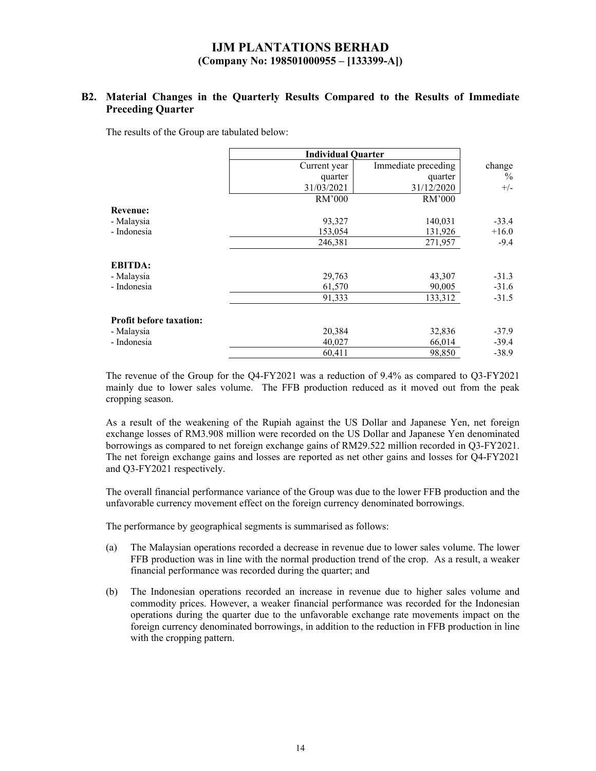### **B2. Material Changes in the Quarterly Results Compared to the Results of Immediate Preceding Quarter**

The results of the Group are tabulated below:

|                                | <b>Individual Quarter</b> |                     |         |
|--------------------------------|---------------------------|---------------------|---------|
|                                | Current year              | Immediate preceding | change  |
|                                | quarter                   | quarter             | $\%$    |
|                                | 31/03/2021                | 31/12/2020          | $+/-$   |
|                                | RM'000                    | RM'000              |         |
| <b>Revenue:</b>                |                           |                     |         |
| - Malaysia                     | 93,327                    | 140,031             | $-33.4$ |
| - Indonesia                    | 153,054                   | 131,926             | $+16.0$ |
|                                | 246,381                   | 271,957             | $-9.4$  |
| <b>EBITDA:</b>                 |                           |                     |         |
| - Malaysia                     | 29,763                    | 43,307              | $-31.3$ |
| - Indonesia                    | 61,570                    | 90,005              | $-31.6$ |
|                                | 91,333                    | 133,312             | $-31.5$ |
| <b>Profit before taxation:</b> |                           |                     |         |
| - Malaysia                     | 20,384                    | 32,836              | $-37.9$ |
| - Indonesia                    | 40,027                    | 66,014              | $-39.4$ |
|                                | 60,411                    | 98,850              | $-38.9$ |

The revenue of the Group for the Q4-FY2021 was a reduction of 9.4% as compared to Q3-FY2021 mainly due to lower sales volume. The FFB production reduced as it moved out from the peak cropping season.

As a result of the weakening of the Rupiah against the US Dollar and Japanese Yen, net foreign exchange losses of RM3.908 million were recorded on the US Dollar and Japanese Yen denominated borrowings as compared to net foreign exchange gains of RM29.522 million recorded in Q3-FY2021. The net foreign exchange gains and losses are reported as net other gains and losses for Q4-FY2021 and Q3-FY2021 respectively.

The overall financial performance variance of the Group was due to the lower FFB production and the unfavorable currency movement effect on the foreign currency denominated borrowings.

The performance by geographical segments is summarised as follows:

- (a) The Malaysian operations recorded a decrease in revenue due to lower sales volume. The lower FFB production was in line with the normal production trend of the crop. As a result, a weaker financial performance was recorded during the quarter; and
- (b) The Indonesian operations recorded an increase in revenue due to higher sales volume and commodity prices. However, a weaker financial performance was recorded for the Indonesian operations during the quarter due to the unfavorable exchange rate movements impact on the foreign currency denominated borrowings, in addition to the reduction in FFB production in line with the cropping pattern.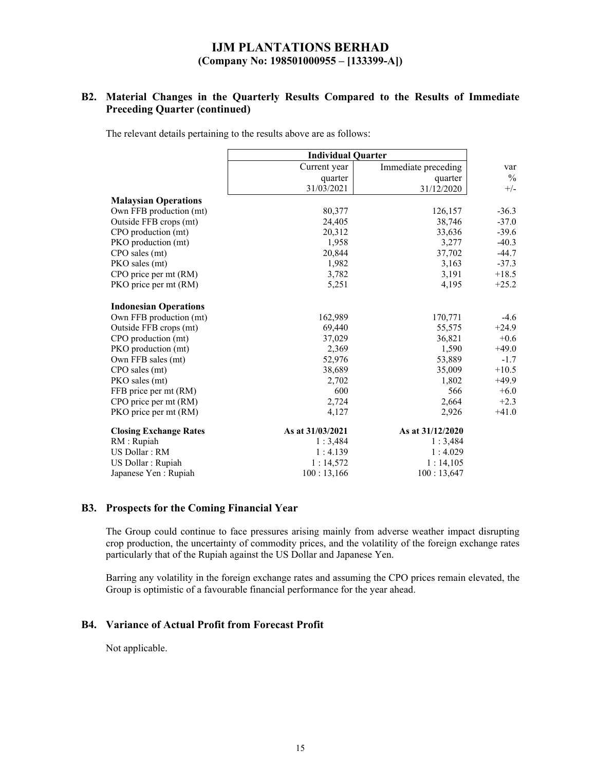## **B2. Material Changes in the Quarterly Results Compared to the Results of Immediate Preceding Quarter (continued)**

The relevant details pertaining to the results above are as follows:

|                               | <b>Individual Quarter</b> |                     |               |
|-------------------------------|---------------------------|---------------------|---------------|
|                               | Current year              | Immediate preceding | var           |
|                               | quarter                   | quarter             | $\frac{0}{0}$ |
|                               | 31/03/2021                | 31/12/2020          | $+/-$         |
| <b>Malaysian Operations</b>   |                           |                     |               |
| Own FFB production (mt)       | 80,377                    | 126,157             | $-36.3$       |
| Outside FFB crops (mt)        | 24,405                    | 38,746              | $-37.0$       |
| CPO production (mt)           | 20,312                    | 33,636              | $-39.6$       |
| PKO production (mt)           | 1,958                     | 3,277               | $-40.3$       |
| CPO sales (mt)                | 20,844                    | 37,702              | $-44.7$       |
| PKO sales (mt)                | 1,982                     | 3,163               | $-37.3$       |
| CPO price per mt (RM)         | 3,782                     | 3,191               | $+18.5$       |
| PKO price per mt (RM)         | 5,251                     | 4,195               | $+25.2$       |
| <b>Indonesian Operations</b>  |                           |                     |               |
| Own FFB production (mt)       | 162,989                   | 170,771             | -4.6          |
| Outside FFB crops (mt)        | 69,440                    | 55,575              | $+24.9$       |
| CPO production (mt)           | 37,029                    | 36,821              | $+0.6$        |
| PKO production (mt)           | 2,369                     | 1,590               | $+49.0$       |
| Own FFB sales (mt)            | 52,976                    | 53,889              | $-1.7$        |
| CPO sales (mt)                | 38,689                    | 35,009              | $+10.5$       |
| PKO sales (mt)                | 2,702                     | 1,802               | $+49.9$       |
| FFB price per mt (RM)         | 600                       | 566                 | $+6.0$        |
| CPO price per mt (RM)         | 2,724                     | 2,664               | $+2.3$        |
| PKO price per mt (RM)         | 4,127                     | 2,926               | $+41.0$       |
| <b>Closing Exchange Rates</b> | As at 31/03/2021          | As at 31/12/2020    |               |
| RM : Rupiah                   | 1:3,484                   | 1:3,484             |               |
| US Dollar: RM                 | 1:4.139                   | 1:4.029             |               |
| US Dollar : Rupiah            | 1:14,572                  | 1:14,105            |               |
| Japanese Yen : Rupiah         | 100:13,166                | 100:13,647          |               |

#### **B3. Prospects for the Coming Financial Year**

The Group could continue to face pressures arising mainly from adverse weather impact disrupting crop production, the uncertainty of commodity prices, and the volatility of the foreign exchange rates particularly that of the Rupiah against the US Dollar and Japanese Yen.

Barring any volatility in the foreign exchange rates and assuming the CPO prices remain elevated, the Group is optimistic of a favourable financial performance for the year ahead.

#### **B4. Variance of Actual Profit from Forecast Profit**

Not applicable.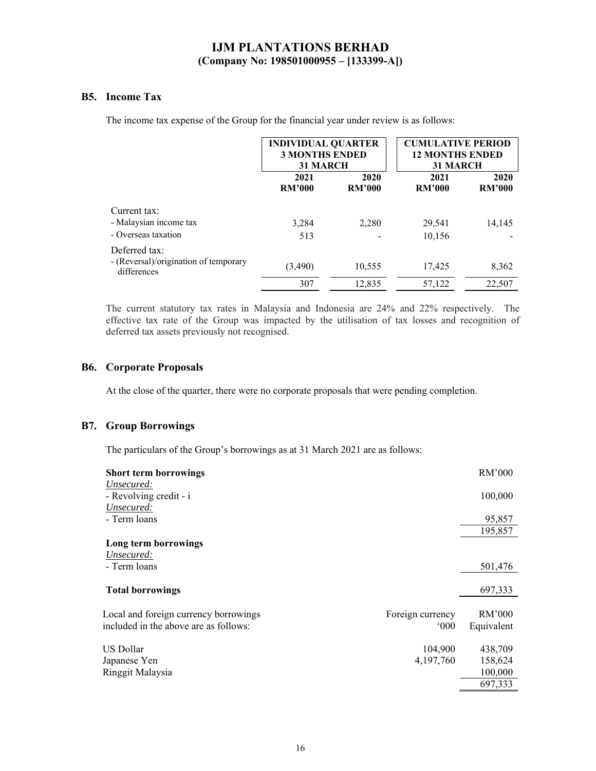### **B5. Income Tax**

The income tax expense of the Group for the financial year under review is as follows:

|                                                      | <b>INDIVIDUAL QUARTER</b><br><b>3 MONTHS ENDED</b><br><b>31 MARCH</b> |                       | <b>CUMULATIVE PERIOD</b><br><b>12 MONTHS ENDED</b><br><b>31 MARCH</b> |                       |
|------------------------------------------------------|-----------------------------------------------------------------------|-----------------------|-----------------------------------------------------------------------|-----------------------|
|                                                      | 2021<br><b>RM'000</b>                                                 | 2020<br><b>RM'000</b> | 2021<br><b>RM'000</b>                                                 | 2020<br><b>RM'000</b> |
| Current tax:                                         |                                                                       |                       |                                                                       |                       |
| - Malaysian income tax                               | 3,284                                                                 | 2,280                 | 29,541                                                                | 14,145                |
| - Overseas taxation                                  | 513                                                                   |                       | 10,156                                                                |                       |
| Deferred tax:                                        |                                                                       |                       |                                                                       |                       |
| - (Reversal)/origination of temporary<br>differences | (3,490)                                                               | 10,555                | 17,425                                                                | 8,362                 |
|                                                      | 307                                                                   | 12.835                | 57,122                                                                | 22,507                |

The current statutory tax rates in Malaysia and Indonesia are 24% and 22% respectively. The effective tax rate of the Group was impacted by the utilisation of tax losses and recognition of deferred tax assets previously not recognised.

### **B6. Corporate Proposals**

At the close of the quarter, there were no corporate proposals that were pending completion.

### **B7. Group Borrowings**

The particulars of the Group's borrowings as at 31 March 2021 are as follows:

| <b>Short term borrowings</b>                              |               | RM'000     |
|-----------------------------------------------------------|---------------|------------|
| Unsecured:                                                |               |            |
| - Revolving credit - i                                    |               | 100,000    |
| Unsecured:                                                |               |            |
| - Term loans                                              |               | 95,857     |
|                                                           |               | 195,857    |
| Long term borrowings                                      |               |            |
| Unsecured:                                                |               |            |
| - Term loans                                              |               | 501,476    |
| <b>Total borrowings</b>                                   |               | 697,333    |
|                                                           |               |            |
| Foreign currency<br>Local and foreign currency borrowings |               | RM'000     |
| included in the above are as follows:                     | $000^{\circ}$ | Equivalent |
|                                                           |               |            |
| US Dollar                                                 | 104,900       | 438,709    |
| Japanese Yen                                              | 4,197,760     | 158,624    |
| Ringgit Malaysia                                          |               | 100,000    |
|                                                           |               | 697,333    |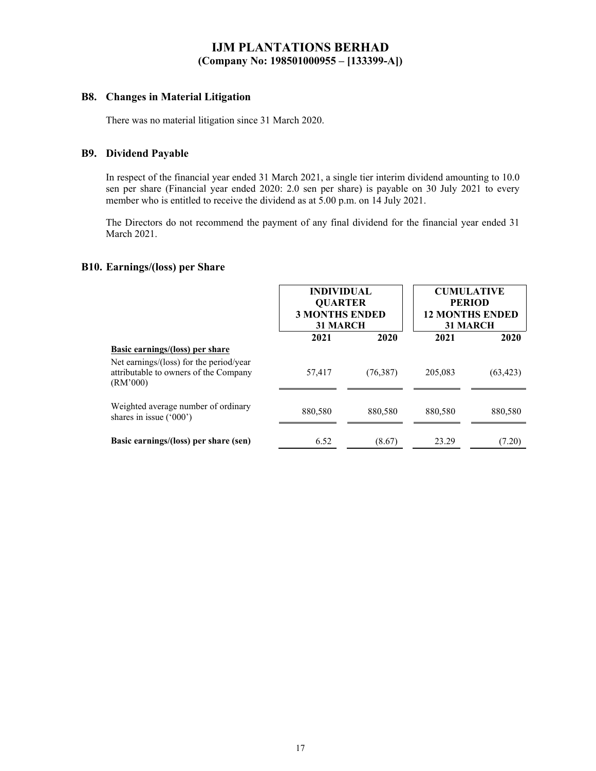### **B8. Changes in Material Litigation**

There was no material litigation since 31 March 2020.

### **B9. Dividend Payable**

In respect of the financial year ended 31 March 2021, a single tier interim dividend amounting to 10.0 sen per share (Financial year ended 2020: 2.0 sen per share) is payable on 30 July 2021 to every member who is entitled to receive the dividend as at 5.00 p.m. on 14 July 2021.

The Directors do not recommend the payment of any final dividend for the financial year ended 31 March 2021.

### **B10. Earnings/(loss) per Share**

|                                                                                              | <b>INDIVIDUAL</b><br><b>QUARTER</b><br><b>3 MONTHS ENDED</b><br><b>31 MARCH</b> |           | <b>CUMULATIVE</b><br><b>PERIOD</b><br><b>12 MONTHS ENDED</b><br><b>31 MARCH</b> |           |
|----------------------------------------------------------------------------------------------|---------------------------------------------------------------------------------|-----------|---------------------------------------------------------------------------------|-----------|
|                                                                                              | 2021                                                                            | 2020      | 2021                                                                            | 2020      |
| <b>Basic earnings/(loss)</b> per share                                                       |                                                                                 |           |                                                                                 |           |
| Net earnings/(loss) for the period/year<br>attributable to owners of the Company<br>(RM'000) | 57,417                                                                          | (76, 387) | 205,083                                                                         | (63, 423) |
| Weighted average number of ordinary<br>shares in issue $('000')$                             | 880,580                                                                         | 880,580   | 880,580                                                                         | 880,580   |
| Basic earnings/(loss) per share (sen)                                                        | 6.52                                                                            | (8.67)    | 23.29                                                                           | (7.20)    |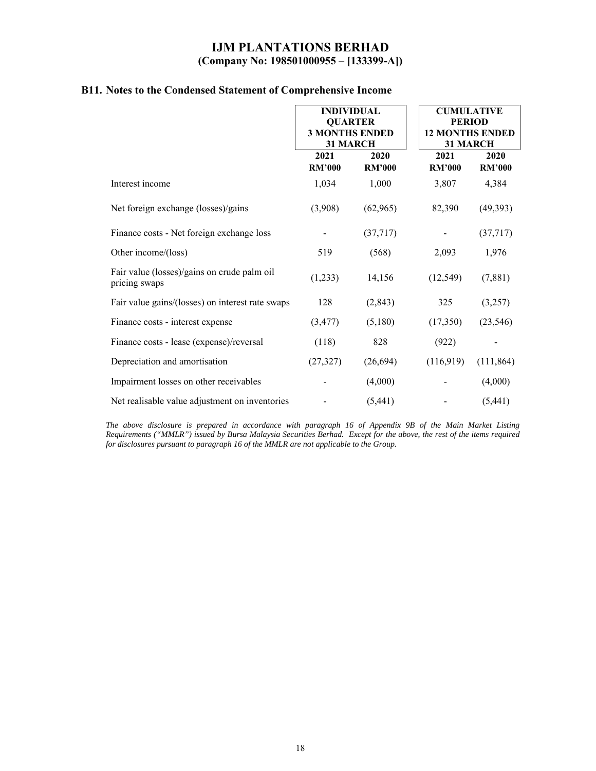|                                                              | <b>INDIVIDUAL</b><br><b>QUARTER</b><br><b>3 MONTHS ENDED</b><br>31 MARCH |                       | <b>CUMULATIVE</b><br><b>PERIOD</b><br><b>12 MONTHS ENDED</b><br>31 MARCH |                       |
|--------------------------------------------------------------|--------------------------------------------------------------------------|-----------------------|--------------------------------------------------------------------------|-----------------------|
|                                                              | 2021<br><b>RM'000</b>                                                    | 2020<br><b>RM'000</b> | 2021<br><b>RM'000</b>                                                    | 2020<br><b>RM'000</b> |
| Interest income                                              | 1,034                                                                    | 1,000                 | 3,807                                                                    | 4,384                 |
| Net foreign exchange (losses)/gains                          | (3,908)                                                                  | (62,965)              | 82,390                                                                   | (49, 393)             |
| Finance costs - Net foreign exchange loss                    |                                                                          | (37,717)              |                                                                          | (37, 717)             |
| Other income/(loss)                                          | 519                                                                      | (568)                 | 2,093                                                                    | 1,976                 |
| Fair value (losses)/gains on crude palm oil<br>pricing swaps | (1,233)                                                                  | 14,156                | (12, 549)                                                                | (7,881)               |
| Fair value gains/(losses) on interest rate swaps             | 128                                                                      | (2, 843)              | 325                                                                      | (3,257)               |
| Finance costs - interest expense                             | (3, 477)                                                                 | (5,180)               | (17,350)                                                                 | (23, 546)             |
| Finance costs - lease (expense)/reversal                     | (118)                                                                    | 828                   | (922)                                                                    |                       |
| Depreciation and amortisation                                | (27, 327)                                                                | (26, 694)             | (116,919)                                                                | (111, 864)            |
| Impairment losses on other receivables                       |                                                                          | (4,000)               |                                                                          | (4,000)               |
| Net realisable value adjustment on inventories               |                                                                          | (5,441)               |                                                                          | (5,441)               |

# **B11. Notes to the Condensed Statement of Comprehensive Income**

*The above disclosure is prepared in accordance with paragraph 16 of Appendix 9B of the Main Market Listing Requirements ("MMLR") issued by Bursa Malaysia Securities Berhad. Except for the above, the rest of the items required for disclosures pursuant to paragraph 16 of the MMLR are not applicable to the Group.*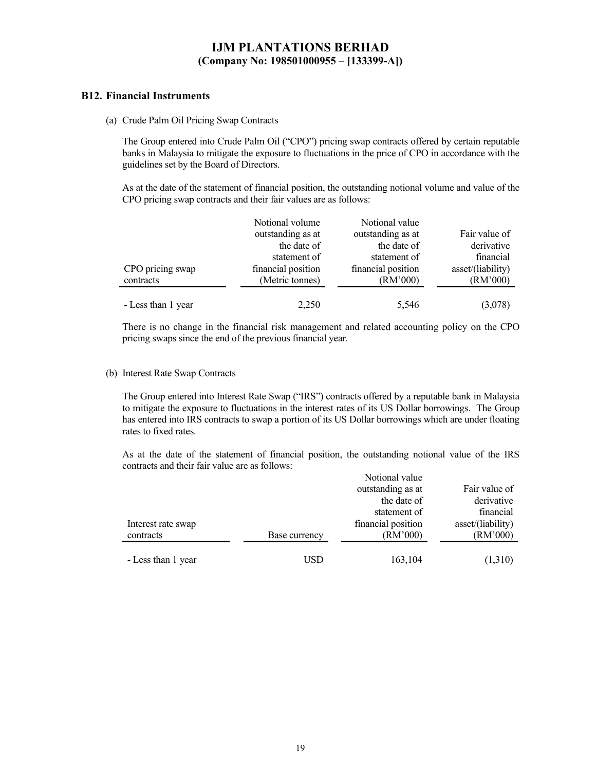### **B12. Financial Instruments**

(a) Crude Palm Oil Pricing Swap Contracts

The Group entered into Crude Palm Oil ("CPO") pricing swap contracts offered by certain reputable banks in Malaysia to mitigate the exposure to fluctuations in the price of CPO in accordance with the guidelines set by the Board of Directors.

As at the date of the statement of financial position, the outstanding notional volume and value of the CPO pricing swap contracts and their fair values are as follows:

|                    | Notional volume    | Notional value     |                   |
|--------------------|--------------------|--------------------|-------------------|
|                    | outstanding as at  | outstanding as at  | Fair value of     |
|                    | the date of        | the date of        | derivative        |
|                    | statement of       | statement of       | financial         |
| CPO pricing swap   | financial position | financial position | asset/(liability) |
| contracts          | (Metric tonnes)    | (RM'000)           | (RM'000)          |
|                    |                    |                    |                   |
| - Less than 1 year | 2,250              | 5,546              | (3,078)           |

There is no change in the financial risk management and related accounting policy on the CPO pricing swaps since the end of the previous financial year.

#### (b) Interest Rate Swap Contracts

The Group entered into Interest Rate Swap ("IRS") contracts offered by a reputable bank in Malaysia to mitigate the exposure to fluctuations in the interest rates of its US Dollar borrowings. The Group has entered into IRS contracts to swap a portion of its US Dollar borrowings which are under floating rates to fixed rates.

As at the date of the statement of financial position, the outstanding notional value of the IRS contracts and their fair value are as follows:

|                    |               | Notional value     |                   |
|--------------------|---------------|--------------------|-------------------|
|                    |               | outstanding as at  | Fair value of     |
|                    |               | the date of        | derivative        |
|                    |               | statement of       | financial         |
| Interest rate swap |               | financial position | asset/(liability) |
| contracts          | Base currency | (RM'000)           | (RM'000)          |
|                    |               |                    |                   |
| - Less than 1 year | USD           | 163,104            | (1,310)           |